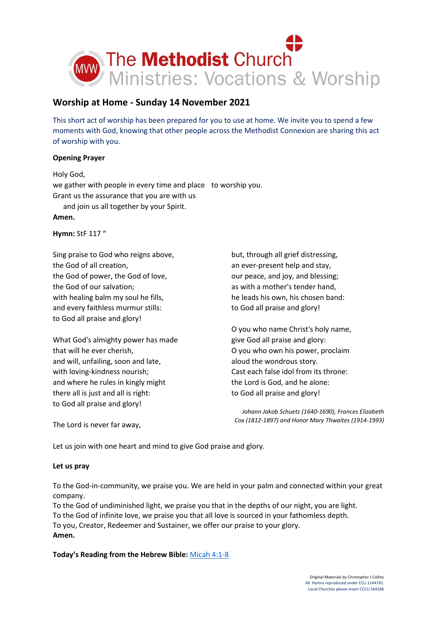

# **Worship at Home - Sunday 14 November 2021**

This short act of worship has been prepared for you to use at home. We invite you to spend a few moments with God, knowing that other people across the Methodist Connexion are sharing this act of worship with you.

# **Opening Prayer**

Holy God, we gather with people in every time and place to worship you. Grant us the assurance that you are with us and join us all together by your Spirit. **Amen.**

**Hymn:** StF 117 "

Sing praise to God who reigns above, the God of all creation, the God of power, the God of love, the God of our salvation; with healing balm my soul he fills, and every faithless murmur stills: to God all praise and glory!

What God's almighty power has made that will he ever cherish, and will, unfailing, soon and late, with loving-kindness nourish; and where he rules in kingly might there all is just and all is right: to God all praise and glory!

but, through all grief distressing, an ever-present help and stay, our peace, and joy, and blessing; as with a mother's tender hand, he leads his own, his chosen band: to God all praise and glory!

O you who name Christ's holy name, give God all praise and glory: O you who own his power, proclaim aloud the wondrous story. Cast each false idol from its throne: the Lord is God, and he alone: to God all praise and glory!

*Johann Jakob Schuetz (1640-1690), Frances Elizabeth Cox (1812-1897) and Honor Mary Thwaites (1914-1993)*

The Lord is never far away,

Let us join with one heart and mind to give God praise and glory.

# **Let us pray**

To the God-in-community, we praise you. We are held in your palm and connected within your great company.

To the God of undiminished light, we praise you that in the depths of our night, you are light. To the God of infinite love, we praise you that all love is sourced in your fathomless depth. To you, Creator, Redeemer and Sustainer, we offer our praise to your glory. **Amen.**

**Today's Reading from the Hebrew Bible:** [Micah 4:1-8](https://www.biblegateway.com/passage/?search=Micah+4%3A1-8&version=NIV)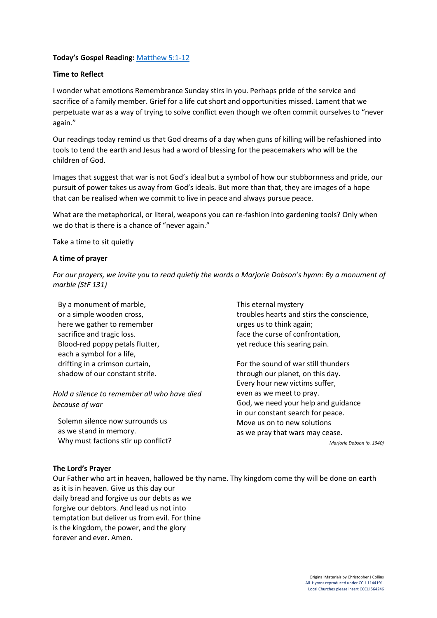## **Today's Gospel Reading:** [Matthew 5:1-12](https://www.biblegateway.com/passage/?search=Matthew+5%3A1-12+&version=NIV)

## **Time to Reflect**

I wonder what emotions Remembrance Sunday stirs in you. Perhaps pride of the service and sacrifice of a family member. Grief for a life cut short and opportunities missed. Lament that we perpetuate war as a way of trying to solve conflict even though we often commit ourselves to "never again."

Our readings today remind us that God dreams of a day when guns of killing will be refashioned into tools to tend the earth and Jesus had a word of blessing for the peacemakers who will be the children of God.

Images that suggest that war is not God's ideal but a symbol of how our stubbornness and pride, our pursuit of power takes us away from God's ideals. But more than that, they are images of a hope that can be realised when we commit to live in peace and always pursue peace.

What are the metaphorical, or literal, weapons you can re-fashion into gardening tools? Only when we do that is there is a chance of "never again."

Take a time to sit quietly

#### **A time of prayer**

*For our prayers, we invite you to read quietly the words o Marjorie Dobson's hymn: By a monument of marble (StF 131)*

By a monument of marble, or a simple wooden cross, here we gather to remember sacrifice and tragic loss. Blood-red poppy petals flutter, each a symbol for a life, drifting in a crimson curtain, shadow of our constant strife.

*Hold a silence to remember all who have died because of war*

Solemn silence now surrounds us as we stand in memory. Why must factions stir up conflict? This eternal mystery troubles hearts and stirs the conscience, urges us to think again; face the curse of confrontation, yet reduce this searing pain.

For the sound of war still thunders through our planet, on this day. Every hour new victims suffer, even as we meet to pray. God, we need your help and guidance in our constant search for peace. Move us on to new solutions as we pray that wars may cease.

*Marjorie Dobson (b. 1940)*

#### **The Lord's Prayer**

Our Father who art in heaven, hallowed be thy name. Thy kingdom come thy will be done on earth as it is in heaven. Give us this day our daily bread and forgive us our debts as we forgive our debtors. And lead us not into temptation but deliver us from evil. For thine is the kingdom, the power, and the glory forever and ever. Amen.